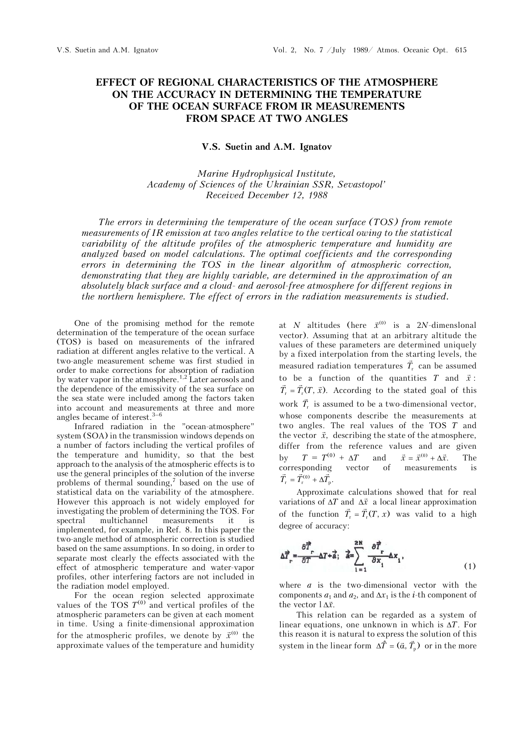## **EFFECT OF REGIONAL CHARACTERISTICS OF THE ATMOSPHERE ON THE ACCURACY IN DETERMINING THE TEMPERATURE OF THE OCEAN SURFACE FROM IR MEASUREMENTS FROM SPACE AT TWO ANGLES**

## **V.S. Suetin and A.M. Ignatov**

## *Marine Hydrophysical Institute, Academy of Sciences of the Ukrainian SSR, Sevastopol' Received December 12, 1988*

*The errors in determining the temperature of the ocean surface (TOS) from remote measurements of IR emission at two angles relative to the vertical owing to the statistical variability of the altitude profiles of the atmospheric temperature and humidity are analyzed based on model calculations. The optimal coefficients and the corresponding errors in determining the TOS in the linear algorithm of atmospheric correction, demonstrating that they are highly variable, are determined in the approximation of an absolutely black surface and a cloud- and aerosol-free atmosphere for different regions in the northern hemisphere. The effect of errors in the radiation measurements is studied.*

One of the promising method for the remote determination of the temperature of the ocean surface (TOS) is based on measurements of the infrared radiation at different angles relative to the vertical. A two-angle measurement scheme was first studied in order to make corrections for absorption of radiation by water vapor in the atmosphere.<sup>1,2</sup> Later aerosols and the dependence of the emissivity of the sea surface on the sea state were included among the factors taken into account and measurements at three and more angles became of interest. $3-6$ 

Infrared radiation in the "ocean-atmosphere" system (SOA) in the transmission windows depends on a number of factors including the vertical profiles of the temperature and humidity, so that the best approach to the analysis of the atmospheric effects is to use the general principles of the solution of the inverse problems of thermal sounding,<sup>7</sup> based on the use of statistical data on the variability of the atmosphere. However this approach is not widely employed for investigating the problem of determining the TOS. For spectral multichannel measurements it is implemented, for example, in Ref. 8. In this paper the two-angle method of atmospheric correction is studied based on the same assumptions. In so doing, in order to separate most clearly the effects associated with the effect of atmospheric temperature and water-vapor profiles, other interfering factors are not included in the radiation model employed.

For the ocean region selected approximate values of the TOS  $T^{(0)}$  and vertical profiles of the atmospheric parameters can be given at each moment in time. Using a finite-dimensional approximation for the atmospheric profiles, we denote by  $\vec{x}^{(0)}$  the approximate values of the temperature and humidity

at *N* altitudes (here  $\vec{x}^{(0)}$  is a 2*N*-dimenslonal vector). Assuming that at an arbitrary altitude the values of these parameters are determined uniquely by a fixed interpolation from the starting levels, the measured radiation temperatures  $\vec{T}_r$  can be assumed to be a function of the quantities  $T$  and  $\vec{x}$ :  $\vec{T}_r = \vec{T}_r(T, \vec{x})$ . According to the stated goal of this work  $\vec{T}_r$  is assumed to be a two-dimensional vector, whose components describe the measurements at two angles. The real values of the TOS *T* and the vector  $\vec{x}$ , describing the state of the atmosphere, differ from the reference values and are given by  $T = T^{(0)} + \Delta T$  and  $\vec{x} = \vec{x}^{(0)} + \Delta \vec{x}$ . The corresponding vector of measurements is  $\vec{T}_{\rm r} = \vec{T}_{\rm r}^{(0)} + \Delta \vec{T}_{\rm p}$ .

Approximate calculations showed that for real variations of  $\Delta T$  and  $\Delta \vec{x}$  a local linear approximation of the function  $\vec{T}_r = \vec{T}_r(T, x)$  was valid to a high degree of accuracy:

$$
\Delta \vec{T}_r = \frac{\partial \vec{T}_r}{\partial T} - \Delta T + \vec{a}; \quad \vec{a} = \sum_{i=1}^{2N} \frac{\partial \vec{T}_r}{\partial x_i} \Delta x_i,
$$
\n(1)

where *a* is the two-dimensional vector with the components  $a_1$  and  $a_2$ , and  $\Delta x_1$  is the *i*-th component of the vector  $1 \Delta \vec{x}$ .

This relation can be regarded as a system of linear equations, one unknown in which is  $\Delta T$ . For this reason it is natural to express the solution of this system in the linear form  $\Delta \hat{T} = (\vec{\alpha}, \vec{T})$  or in the more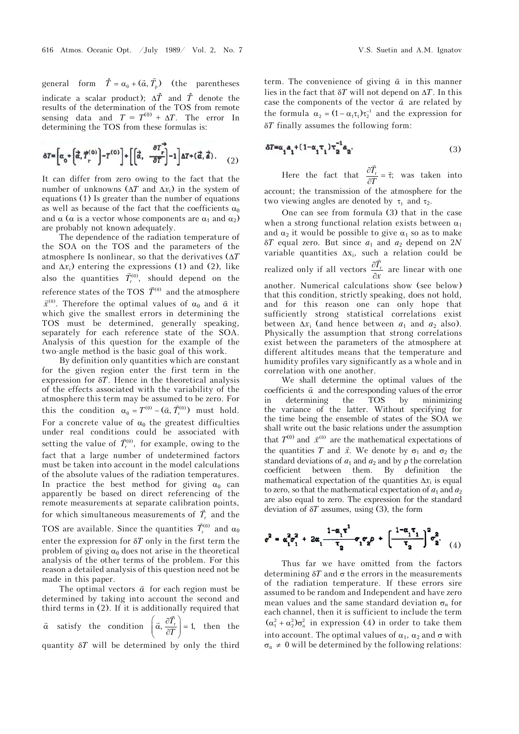general form  $\hat{T} = \alpha_0 + (\vec{\alpha}, \vec{T}_p)$  (the parentheses indicate a scalar product);  $\Delta \hat{T}$  and  $\hat{T}$  denote the results of the determination of the TOS from remote sensing data and  $T = T^{(0)} + \Delta T$ . The error In determining the TOS from these formulas is:

$$
\delta T = \left[\alpha_0 + \left(\vec{\alpha}, \vec{T}_{\rm r}^{(0)}\right) - T^{(0)}\right] + \left[\left(\vec{\alpha}, \frac{\partial T_{\rm r}^2}{\partial T}\right) - 1\right] \Delta T + (\vec{\alpha}, \vec{\alpha}).\tag{2}
$$

It can differ from zero owing to the fact that the number of unknowns  $(\Delta T \text{ and } \Delta x_i)$  in the system of equations (1) Is greater than the number of equations as well as because of the fact that the coefficients  $\alpha_0$ and  $\alpha$  ( $\alpha$  is a vector whose components are  $\alpha_1$  and  $\alpha_2$ ) are probably not known adequately.

The dependence of the radiation temperature of the SOA on the TOS and the parameters of the atmosphere Is nonlinear, so that the derivatives  $(\Delta T)$ and  $\Delta x_i$ ) entering the expressions (1) and (2), like also the quantities  $\vec{T}_{r}^{(0)}$ , should depend on the reference states of the TOS  $\vec{T}^{(0)}$  and the atmosphere  $\vec{x}^{(0)}$ . Therefore the optimal values of  $\alpha_0$  and  $\vec{\alpha}$  it which give the smallest errors in determining the TOS must be determined, generally speaking, separately for each reference state of the SOA. Analysis of this question for the example of the two-angle method is the basic goal of this work.

By definition only quantities which are constant for the given region enter the first term in the expression for  $\delta T$ . Hence in the theoretical analysis of the effects associated with the variability of the atmosphere this term may be assumed to be zero. For this the condition  $\alpha_0 = T^{(0)} - (\vec{\alpha}, \vec{T}_r^{(0)})$  must hold. For a concrete value of  $\alpha_0$  the greatest difficulties under real conditions could be associated with setting the value of  $\vec{T}_{r}^{(0)}$ , for example, owing to the fact that a large number of undetermined factors must be taken into account in the model calculations of the absolute values of the radiation temperatures. In practice the best method for giving  $\alpha_0$  can apparently be based on direct referencing of the remote measurements at separate calibration points, for which simultaneous measurements of  $\vec{T}_r$  and the TOS are available. Since the quantities  $\vec{T}_{\text{r}}^{(0)}$  and  $\alpha_0$ enter the expression for  $\delta T$  only in the first term the problem of giving  $\alpha_0$  does not arise in the theoretical analysis of the other terms of the problem. For this

reason a detailed analysis of this question need not be made in this paper. The optimal vectors  $\vec{\alpha}$  for each region must be determined by taking into account the second and third terms in (2). If it is additionally required that  $\vec{\alpha}$  $\vec{\alpha}$  satisfy the condition  $\left(\vec{\alpha}, \frac{\partial \vec{T}_r}{\partial T}\right) = 1$ , then the quantity  $\delta T$  will be determined by only the third

term. The convenience of giving  $\vec{\alpha}$  in this manner lies in the fact that  $\delta T$  will not depend on  $\Delta T$ . In this case the components of the vector  $\vec{\alpha}$  are related by the formula  $\alpha_2 = (1 - \alpha_1 \tau_1) \tau_2^{-1}$  and the expression for *T* finally assumes the following form:

$$
\delta T = \alpha_1 a_1 + (1 - \alpha_1 \tau_1) \tau_2^{-1} a_2.
$$
 (3)

Here the fact that  $\frac{\partial T_r}{\partial x} = \vec{\tau}$ ;  $\frac{\partial \vec{T}_r}{\partial T} = \vec{\tau}$ ; was taken into account; the transmission of the atmosphere for the two viewing angles are denoted by  $\tau_1$  and  $\tau_2$ .

One can see from formula (3) that in the case when a strong functional relation exists between  $\alpha_1$ and  $\alpha_2$  it would be possible to give  $\alpha_1$  so as to make  $\delta T$  equal zero. But since  $a_1$  and  $a_2$  depend on 2*N* variable quantities  $\Delta x_i$ , such a relation could be realized only if all vectors  $\frac{\partial T_i}{\partial x}$  $\hat{c}$  $\hat{c}$  $\vec{r}$  are linear with one another. Numerical calculations show (see below) that this condition, strictly speaking, does not hold, and for this reason one can only hope that sufficiently strong statistical correlations exist between  $\Delta x_i$  (and hence between  $a_1$  and  $a_2$  also). Physically the assumption that strong correlations exist between the parameters of the atmosphere at different altitudes means that the temperature and humidity profiles vary significantly as a whole and in correlation with one another.

We shall determine the optimal values of the coefficients  $\vec{\alpha}$  and the corresponding values of the error in determining the TOS by minimizing the variance of the latter. Without specifying for the time being the ensemble of states of the SOA we shall write out the basic relations under the assumption that  $T^{(0)}$  and  $\vec{x}^{(0)}$  are the mathematical expectations of the quantities *T* and  $\vec{x}$ . We denote by  $\sigma_1$  and  $\sigma_2$  the standard deviations of  $a_1$  and  $a_2$  and by  $\rho$  the correlation coefficient between them. By definition the mathematical expectation of the quantities  $\Delta x_i$  is equal to zero, so that the mathematical expectation of  $a_1$  and  $a_2$ are also equal to zero. The expression for the standard deviation of  $\delta T$  assumes, using (3), the form

$$
\sigma^2 = \alpha_1^2 \sigma_1^2 + 2\alpha_1 \frac{1 - \alpha_1 \tau^1}{\tau_2} \sigma_1 \sigma_2 \rho + \left[ \frac{1 - \alpha_1 \tau_1}{\tau_2} \right]^2 \sigma_2^2.
$$
 (4)

Thus far we have omitted from the factors determining  $\delta T$  and  $\sigma$  the errors in the measurements of the radiation temperature. If these errors sire assumed to be random and Independent and have zero mean values and the same standard deviation  $\sigma_{\rm n}$  for each channel, then it is sufficient to include the term  $(\alpha_1^2 + \alpha_2^2)\sigma_n^2$  in expression (4) in order to take them into account. The optimal values of  $\alpha_1$ ,  $\alpha_2$  and  $\sigma$  with  $\sigma_n \neq 0$  will be determined by the following relations: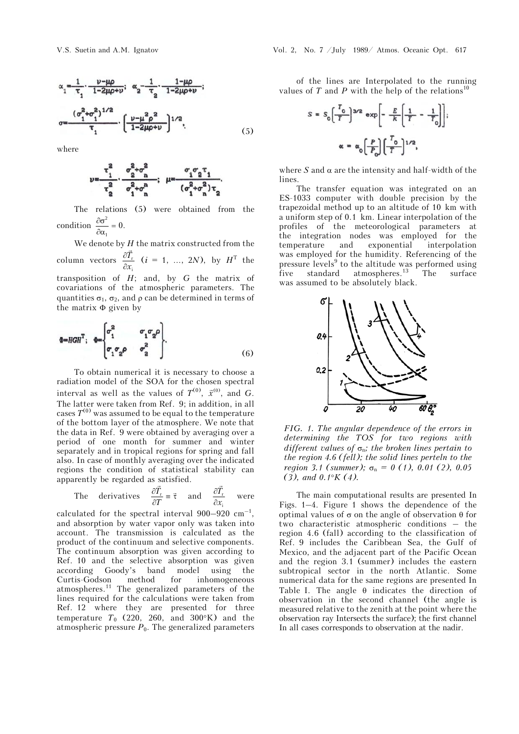$$
\alpha_{1} = \frac{1}{\tau_{1}} \cdot \frac{\nu - \mu \rho}{1 - 2\mu \rho + \nu}; \quad \alpha_{2} = \frac{1}{\tau_{2}} \cdot \frac{1 - \mu \rho}{1 - 2\mu \rho + \nu};
$$
\n
$$
\sigma = \frac{(\sigma_{1}^{2} + \sigma_{1}^{2})^{1/2}}{\tau_{1}} \cdot \left[ \frac{\nu - \mu^{2} \rho^{2}}{1 - 2\mu \rho + \nu} \right]^{1/2}, \tag{5}
$$

where

$$
\nu = \frac{\tau_1^2}{\tau_2^2} \cdot \frac{\sigma_2^2 + \sigma_1^2}{\sigma_1^2 + \sigma_1^2}; \ \ \mu = \frac{\sigma_1 \sigma_2 \tau_1}{(\sigma_1^2 + \sigma_1^2) \tau_2}.
$$

The relations (5) were obtained from the condition  $\frac{\partial \sigma^2}{\partial \sigma^2}$  $\frac{\partial \sigma^2}{\partial \alpha_1} = 0.$ 

We denote by *H* the matrix constructed from the column vectors  $\frac{U_{r}}{2}$ i *T x*  $\partial$  $\hat{o}$  $\vec{r}$  $(i = 1, ..., 2N)$ , by  $H<sup>T</sup>$  the transposition of *H*; and, by *G* the matrix of covariations of the atmospheric parameters. The quantities  $\sigma_1$ ,  $\sigma_2$ , and  $\rho$  can be determined in terms of the matrix  $\Phi$  given by

$$
\Phi = HGH^{\mathrm{T}}; \quad \Phi = \begin{bmatrix} \sigma_1^2 & \sigma_1 \sigma_2 \rho \\ \sigma_1 \sigma_2 \rho & \sigma_2^2 \end{bmatrix} . \tag{6}
$$

To obtain numerical it is necessary to choose a radiation model of the SOA for the chosen spectral interval as well as the values of  $T^{(0)}$ ,  $\vec{x}^{(0)}$ , and *G*. The latter were taken from Ref. 9; in addition, in all cases  $T^{(0)}$  was assumed to be equal to the temperature of the bottom layer of the atmosphere. We note that the data in Ref. 9 were obtained by averaging over a period of one month for summer and winter separately and in tropical regions for spring and fall also. In case of monthly averaging over the indicated regions the condition of statistical stability can apparently be regarded as satisfied.

The derivatives 
$$
\frac{\partial \vec{T}_r}{\partial T} = \vec{\tau}
$$
 and  $\frac{\partial \vec{T}_r}{\partial x_i}$  were

calculated for the spectral interval  $900-920$  cm<sup>-1</sup>, and absorption by water vapor only was taken into account. The transmission is calculated as the product of the continuum and selective components. The continuum absorption was given according to Ref. 10 and the selective absorption was given according Goody's band model using the Curtis-Godson method for inhomogeneous atmospheres.11 The generalized parameters of the lines required for the calculations were taken from Ref. 12 where they are presented for three temperature  $T_0$  (220, 260, and 300°K) and the atmospheric pressure  $P_0$ . The generalized parameters

of the lines are Interpolated to the running values of  $T$  and  $P$  with the help of the relations<sup>10</sup>

$$
S = S_0 \left( \frac{T_0}{T} \right)^{3/2} \exp \left[ -\frac{E}{k} \left( \frac{1}{T} - \frac{1}{T_0} \right) \right];
$$
  

$$
\alpha = \alpha_0 \left( \frac{P}{P_0} \right) \left( \frac{T_0}{T} \right)^{1/2},
$$

where  $S$  and  $\alpha$  are the intensity and half-width of the lines.

The transfer equation was integrated on an ES-1033 computer with double precision by the trapezoidal method up to an altitude of 10 km with a uniform step of 0.1 km. Linear interpolation of the profiles of the meteorological parameters at the integration nodes was employed for the temperature and exponential interpolation was employed for the humidity. Referencing of the pressure levels<sup>9</sup> to the altitude was performed using five standard atmospheres.<sup>13</sup> The surface was assumed to be absolutely black.



*FIG. 1. The angular dependence of the errors in determining the TOS for two regions with different values of* n*; the broken lines pertain to the region 4.6 (fell); the solid lines perteln to the region 3.1 (summer)*;  $\sigma_n = 0$  (1), 0.01 (2), 0.05 *(3), and 0.1K (4).*

The main computational results are presented In Figs. 1–4. Figure 1 shows the dependence of the optimal values of  $\sigma$  on the angle of observation  $\theta$  for two characteristic atmospheric conditions – the region 4.6 (fall) according to the classification of Ref. 9 includes the Caribbean Sea, the Gulf of Mexico, and the adjacent part of the Pacific Ocean and the region 3.1 (summer) includes the eastern subtropical sector in the north Atlantic. Some numerical data for the same regions are presented In Table I. The angle  $\theta$  indicates the direction of observation in the second channel (the angle is measured relative to the zenith at the point where the observation ray Intersects the surface); the first channel In all cases corresponds to observation at the nadir.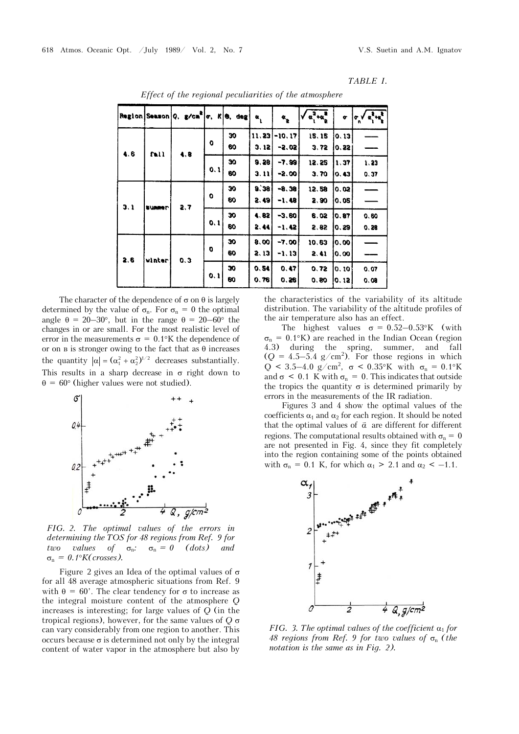|     |               | Region Season Q. $g/cm$ o. $R$ 0. deg |     |          | $\alpha$      | $\boldsymbol{\alpha}_{\underline{\textbf{p}}}$ | $\alpha_1^2 + \alpha_2^2$ | œ                  | $\mathbf{r}$<br>¢<br>n |
|-----|---------------|---------------------------------------|-----|----------|---------------|------------------------------------------------|---------------------------|--------------------|------------------------|
| 4.6 | fall          | 4.8                                   | o   | 30<br>60 | 11.23<br>3.12 | $-10.17$<br>-2.02                              | 15.15<br>3,72             | 0.13<br>0.22       |                        |
|     |               |                                       | 0.1 | 30<br>60 | 9.28<br>3.11  | $-7.99$<br>$-2,00$                             | 12.25<br>3.70             | 1,37<br>0, 43      | 1, 23<br>0.37          |
| 3.1 | <b>SUMMER</b> | 2, 7                                  | o   | 30<br>60 | 9.38<br>2.491 | $-8.38$<br>$-1.48$                             | 12.58<br>2.90             | 0.02<br>0,05       |                        |
|     |               |                                       | 0,1 | 30<br>60 | 4.82<br>2.44  | $-3.60$<br>$-1.42$                             | 6,02<br>2.82              | 0.87<br>0.29       | 0.60<br>0.28           |
| 2,6 | winter        | 0.3                                   | 0   | 30<br>60 | 8,00<br>2.13  | $-7.00$<br>$-1, 13$                            | 10.63<br>2.41             | 10.00<br>10.00     |                        |
|     |               |                                       | 0,1 | 30<br>60 | 0, 54<br>0,76 | 0.47<br>0.26                                   | 0.72<br>0.80              | 10. 10.<br>10. 12. | 0.07<br>0.08           |

*Effect of the regional peculiarities of the atmosphere* 

The character of the dependence of  $\sigma$  on  $\theta$  is largely determined by the value of  $\sigma_{n}$ . For  $\sigma_{n} = 0$  the optimal angle  $\theta = 20-30^{\circ}$ , but in the range  $\theta = 20-60^{\circ}$  the changes in or are small. For the most realistic level of error in the measurements  $\sigma = 0.1$ °K the dependence of or on  $\bf{B}$  is stronger owing to the fact that as  $\bf{\theta}$  increases the quantity  $|\alpha| = (\alpha_1^2 + \alpha_2^2)^{1/2}$  decreases substantially. This results in a sharp decrease in  $\sigma$  right down to  $\theta = 60^{\circ}$  (higher values were not studied).



*FIG. 2. The optimal values of the errors in determining the TOS for 48 regions from Ref. 9 for two values of*  $\sigma_n$ *:*  $\sigma_n = 0$  *(dots) and*  $\sigma_{\rm n} = 0.1$ <sup>o</sup>K(crosses).

Figure 2 gives an Idea of the optimal values of  $\sigma$ for all 48 average atmospheric situations from Ref. 9 with  $\theta = 60'$ . The clear tendency for  $\sigma$  to increase as the integral moisture content of the atmosphere *Q* increases is interesting; for large values of *Q* (in the tropical regions), however, for the same values of  $Q \sigma$ can vary considerably from one region to another. This occurs because  $\sigma$  is determined not only by the integral content of water vapor in the atmosphere but also by

the characteristics of the variability of its altitude distribution. The variability of the altitude profiles of the air temperature also has an effect.

The highest values  $\sigma = 0.52 - 0.53$ °K (with  $\sigma_{\rm n}$  = 0.1°K) are reached in the Indian Ocean (region 4.3) during the spring, summer, and fall  $(Q = 4.5 - 5.4$  g/cm<sup>2</sup>). For those regions in which  $Q < 3.5-4.0$  g/cm<sup>2</sup>,  $\sigma < 0.35$ °K with  $\sigma_{n} = 0.1$ °K and  $\sigma$  < 0.1 K with  $\sigma$ <sub>n</sub> = 0. This indicates that outside the tropics the quantity  $\sigma$  is determined primarily by errors in the measurements of the IR radiation.

Figures 3 and 4 show the optimal values of the coefficients  $\alpha_1$  and  $\alpha_2$  for each region. It should be noted that the optimal values of  $\vec{\alpha}$  are different for different regions. The computational results obtained with  $\sigma_n = 0$ are not presented in Fig. 4, since they fit completely into the region containing some of the points obtained with  $\sigma_{\rm n} = 0.1$  K, for which  $\alpha_1 > 2.1$  and  $\alpha_2 < -1.1$ .



*FIG. 3. The optimal values of the coefficient*  $\alpha_1$  *for 48 regions from Ref. 9 for two values of*  $\sigma_n$  (the *notation is the same as in Fig. 2).*